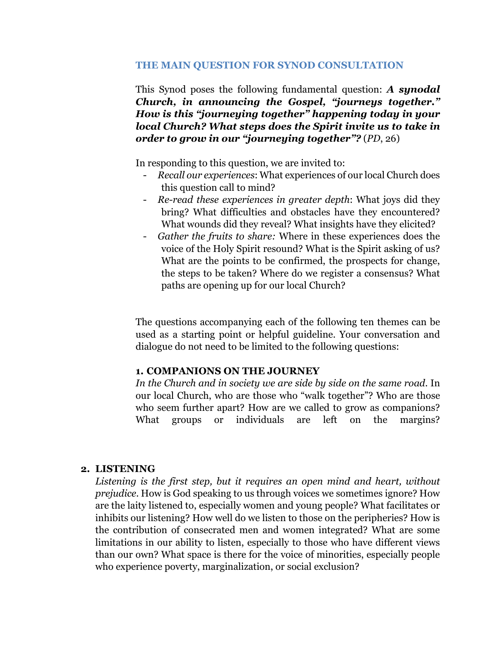#### **THE MAIN QUESTION FOR SYNOD CONSULTATION**

This Synod poses the following fundamental question: *A synodal Church, in announcing the Gospel, "journeys together." How is this "journeying together" happening today in your local Church? What steps does the Spirit invite us to take in order to grow in our "journeying together"?* (*PD*, 26)

In responding to this question, we are invited to:

- *Recall our experiences*: What experiences of our local Church does this question call to mind?
- *Re-read these experiences in greater depth*: What joys did they bring? What difficulties and obstacles have they encountered? What wounds did they reveal? What insights have they elicited?
- *Gather the fruits to share:* Where in these experiences does the voice of the Holy Spirit resound? What is the Spirit asking of us? What are the points to be confirmed, the prospects for change, the steps to be taken? Where do we register a consensus? What paths are opening up for our local Church?

The questions accompanying each of the following ten themes can be used as a starting point or helpful guideline. Your conversation and dialogue do not need to be limited to the following questions:

## **1. COMPANIONS ON THE JOURNEY**

*In the Church and in society we are side by side on the same road*. In our local Church, who are those who "walk together"? Who are those who seem further apart? How are we called to grow as companions? What groups or individuals are left on the margins?

## **2. LISTENING**

*Listening is the first step, but it requires an open mind and heart, without prejudice*. How is God speaking to us through voices we sometimes ignore? How are the laity listened to, especially women and young people? What facilitates or inhibits our listening? How well do we listen to those on the peripheries? How is the contribution of consecrated men and women integrated? What are some limitations in our ability to listen, especially to those who have different views than our own? What space is there for the voice of minorities, especially people who experience poverty, marginalization, or social exclusion?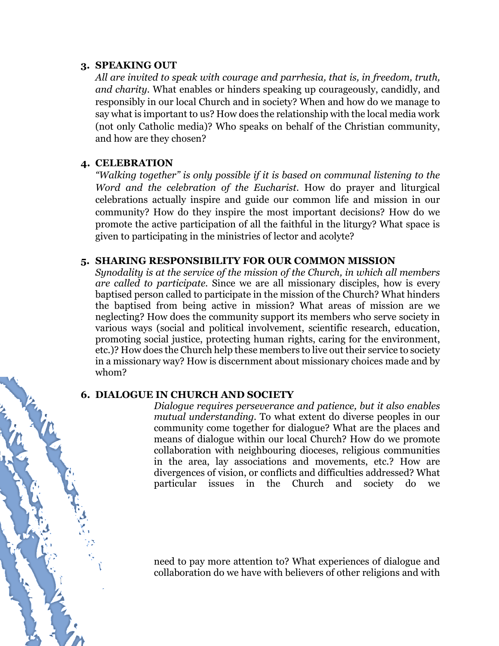#### **3. SPEAKING OUT**

*All are invited to speak with courage and parrhesia, that is, in freedom, truth, and charity.* What enables or hinders speaking up courageously, candidly, and responsibly in our local Church and in society? When and how do we manage to say what is important to us? How does the relationship with the local media work (not only Catholic media)? Who speaks on behalf of the Christian community, and how are they chosen?

## **4. CELEBRATION**

*"Walking together" is only possible if it is based on communal listening to the Word and the celebration of the Eucharist.* How do prayer and liturgical celebrations actually inspire and guide our common life and mission in our community? How do they inspire the most important decisions? How do we promote the active participation of all the faithful in the liturgy? What space is given to participating in the ministries of lector and acolyte?

#### **5. SHARING RESPONSIBILITY FOR OUR COMMON MISSION**

*Synodality is at the service of the mission of the Church, in which all members are called to participate.* Since we are all missionary disciples, how is every baptised person called to participate in the mission of the Church? What hinders the baptised from being active in mission? What areas of mission are we neglecting? How does the community support its members who serve society in various ways (social and political involvement, scientific research, education, promoting social justice, protecting human rights, caring for the environment, etc.)? How does the Church help these members to live out their service to society in a missionary way? How is discernment about missionary choices made and by whom?

## **6. DIALOGUE IN CHURCH AND SOCIETY**

*Dialogue requires perseverance and patience, but it also enables mutual understanding.* To what extent do diverse peoples in our community come together for dialogue? What are the places and means of dialogue within our local Church? How do we promote collaboration with neighbouring dioceses, religious communities in the area, lay associations and movements, etc.? How are divergences of vision, or conflicts and difficulties addressed? What particular issues in the Church and society do we

need to pay more attention to? What experiences of dialogue and collaboration do we have with believers of other religions and with